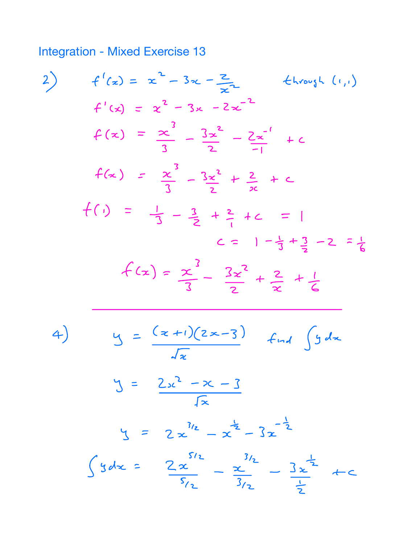**Integration - Mixed Exercise 13** 

2) 
$$
f'(x) = x^2 - 3x - \frac{z}{x^2}
$$
 4.6664. (1,1)  
\n $f'(x) = x^2 - 3x - 2x^{-2}$   
\n $f(x) = \frac{x^3}{3} - \frac{3x^2}{2} - \frac{2x^{-1}}{-1} + c$   
\n $f(x) = \frac{x^3}{3} - \frac{3x^2}{2} + \frac{2}{x} + c$   
\n $f(1) = \frac{1}{3} - \frac{3}{2} + \frac{2}{1} + c = 1$   
\n $c = 1 - \frac{1}{3} + \frac{3}{2} - 2 = \frac{1}{6}$   
\n $f(x) = \frac{x^3}{3} - \frac{3x^2}{2} + \frac{2}{x} + \frac{1}{6}$   
\n4)  $y = \frac{(x+1)(2x-3)}{\sqrt{x}} + \frac{1}{x} + \frac{1}{6}$   
\n $y = \frac{2x^2 - x - 3}{\sqrt{x}}$   
\n $y = 2x^{\frac{3}{2}} - x^{\frac{1}{2}} - 3x^{-\frac{1}{2}}$   
\n $y = 2x^{\frac{3}{2}} - x - \frac{1}{3} + \frac{3}{2} - \frac{1}{2}$   
\n $y = \frac{2x^2 - x - 3}{\sqrt{x}}$   
\n $y = \frac{5}{x} - \frac{3}{x} - \frac{3}{x} + c$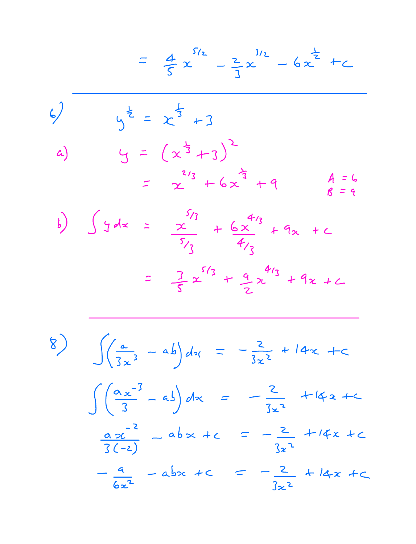$$
= \frac{4}{5}x^{\frac{5}{2}} - \frac{2}{3}x^{\frac{3}{2}} - 6x^{\frac{1}{2}} + C
$$
  
\n4)  
\n4)  
\n5
$$
y^{\frac{1}{2}} = x^{\frac{1}{3}} + 3
$$
  
\n5
$$
y = (x^{\frac{1}{3}} + 3)^{2}
$$
  
\n6
$$
= x^{\frac{2}{3}} + 6x^{\frac{2}{3}} + 9
$$
  
\n7
$$
y = 6x^{\frac{2}{3}} + 9x^{\frac{2}{3}} + 9x + C
$$
  
\n8
$$
= 3x^{\frac{5}{3}} + \frac{6x^{\frac{4}{3}}}{4}
$$
  
\n9
$$
= \frac{3}{5}x^{\frac{5}{3}} + \frac{9}{2}x^{\frac{4}{3}} + 9x + C
$$

8) 
$$
\int \left(\frac{a}{3x^{3}} - ab\right)dx = -\frac{2}{3x^{2}} + 14x + c
$$
  

$$
\int \left(\frac{a_{x}^{-3}}{3} - ab\right)dx = -\frac{2}{3x^{2}} + 14x + c
$$
  

$$
\frac{a_{2}c^{-2}}{3(-2)} - ab_{2}x + c = -\frac{2}{3x^{2}} + 14x + c
$$
  

$$
-\frac{a}{6x^{2}} - ab_{2}x + c = -\frac{2}{3x^{2}} + 14x + c
$$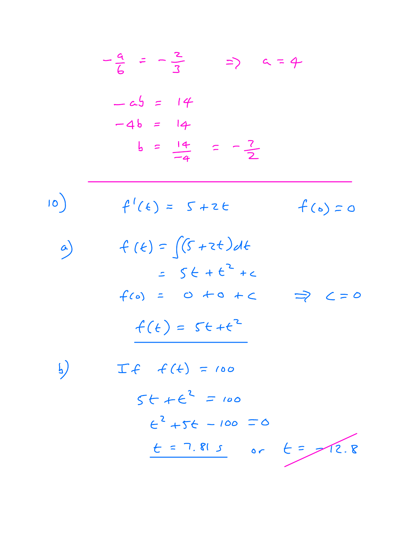$$
-\frac{a}{6} = -\frac{2}{3} \Rightarrow a = 4
$$
  
\n
$$
-a5 = 14
$$
  
\n
$$
-4b = 14
$$
  
\n
$$
b = \frac{14}{-4} = -\frac{7}{2}
$$
  
\n10)  
\n
$$
f'(k) = 5 + 2k
$$
  
\n
$$
f(b) = \int (5 + 2k) dk
$$
  
\n
$$
= 5k + 6^2 + c
$$
  
\n
$$
f(0) = 0 \pm 0 + c \Rightarrow 2 = 0
$$
  
\n
$$
\frac{f(k)}{2} = 5 + 6 + c^2
$$
  
\n11)  
\n
$$
T + f(k) = 100
$$
  
\n
$$
5k + 6^2 = 100
$$
  
\n
$$
6^2 + 56 = 100 = 0
$$
  
\n
$$
6 = 7.813
$$
 or  $k = 72.8$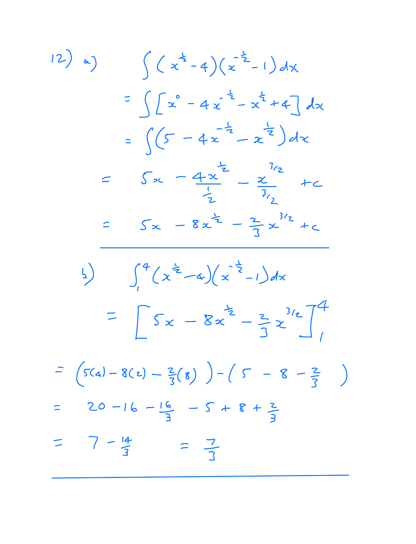12) (a) 
$$
\int (x^{\frac{1}{2}}-4)(x^{-\frac{1}{2}}-1)dx
$$
  
\n $= \int [x^{\circ}-4x^{-\frac{1}{2}}-x^{\frac{1}{2}}+4]dx$   
\n $= \int (5-4x^{-\frac{1}{2}}-x^{-\frac{1}{2}})dx$   
\n $= 5x - \frac{4x^{\frac{1}{2}}}{\frac{1}{2}} - \frac{x}{3/2} + c$   
\n $\frac{1}{2}$   
\n $= 5x - 8x^{\frac{1}{2}} - \frac{2}{3}x^{3/2} + c$   
\n $\frac{1}{2}$   
\n $= \int 5x - 8x^{\frac{1}{2}} - \frac{2}{3}x^{3/2} + c$   
\n $= \int 5x - 8x^{\frac{1}{2}} - \frac{2}{3}x^{3/2} + c$   
\n $= \int 5x - 8x^{\frac{1}{2}} - \frac{2}{3}x^{3/2} + c$   
\n $= 20 - 16 - \frac{16}{3} - 5 + 8 + \frac{2}{3}$   
\n $= 7 - \frac{14}{3} = \frac{7}{3}$